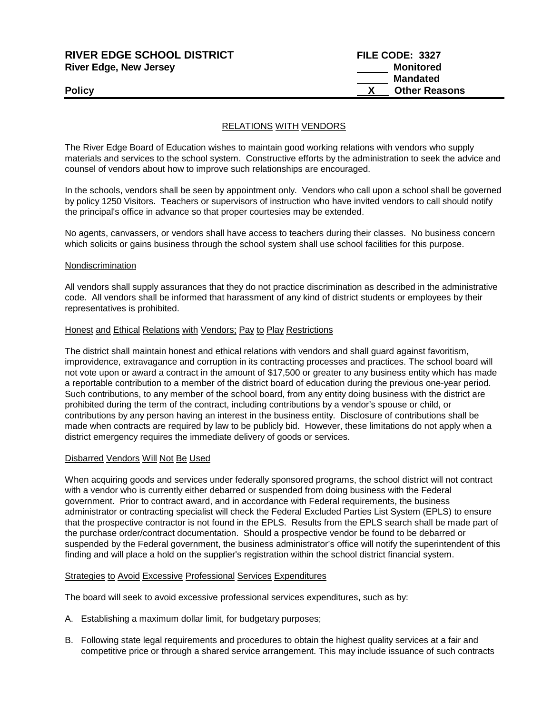| <b>RIVER EDGE SCHOOL DISTRICT</b> | FILE CODE: 3327      |
|-----------------------------------|----------------------|
| <b>River Edge, New Jersey</b>     | Monitored            |
|                                   | <b>Mandated</b>      |
| <b>Policy</b>                     | <b>Other Reasons</b> |
|                                   |                      |

# RELATIONS WITH VENDORS

The River Edge Board of Education wishes to maintain good working relations with vendors who supply materials and services to the school system. Constructive efforts by the administration to seek the advice and counsel of vendors about how to improve such relationships are encouraged.

In the schools, vendors shall be seen by appointment only. Vendors who call upon a school shall be governed by policy 1250 Visitors. Teachers or supervisors of instruction who have invited vendors to call should notify the principal's office in advance so that proper courtesies may be extended.

No agents, canvassers, or vendors shall have access to teachers during their classes. No business concern which solicits or gains business through the school system shall use school facilities for this purpose.

#### Nondiscrimination

All vendors shall supply assurances that they do not practice discrimination as described in the administrative code. All vendors shall be informed that harassment of any kind of district students or employees by their representatives is prohibited.

#### Honest and Ethical Relations with Vendors; Pay to Play Restrictions

The district shall maintain honest and ethical relations with vendors and shall guard against favoritism, improvidence, extravagance and corruption in its contracting processes and practices. The school board will not vote upon or award a contract in the amount of \$17,500 or greater to any business entity which has made a reportable contribution to a member of the district board of education during the previous one-year period. Such contributions, to any member of the school board, from any entity doing business with the district are prohibited during the term of the contract, including contributions by a vendor's spouse or child, or contributions by any person having an interest in the business entity. Disclosure of contributions shall be made when contracts are required by law to be publicly bid. However, these limitations do not apply when a district emergency requires the immediate delivery of goods or services.

## Disbarred Vendors Will Not Be Used

When acquiring goods and services under federally sponsored programs, the school district will not contract with a vendor who is currently either debarred or suspended from doing business with the Federal government. Prior to contract award, and in accordance with Federal requirements, the business administrator or contracting specialist will check the Federal Excluded Parties List System (EPLS) to ensure that the prospective contractor is not found in the EPLS. Results from the EPLS search shall be made part of the purchase order/contract documentation. Should a prospective vendor be found to be debarred or suspended by the Federal government, the business administrator's office will notify the superintendent of this finding and will place a hold on the supplier's registration within the school district financial system.

#### Strategies to Avoid Excessive Professional Services Expenditures

The board will seek to avoid excessive professional services expenditures, such as by:

- A. Establishing a maximum dollar limit, for budgetary purposes;
- B. Following state legal requirements and procedures to obtain the highest quality services at a fair and competitive price or through a shared service arrangement. This may include issuance of such contracts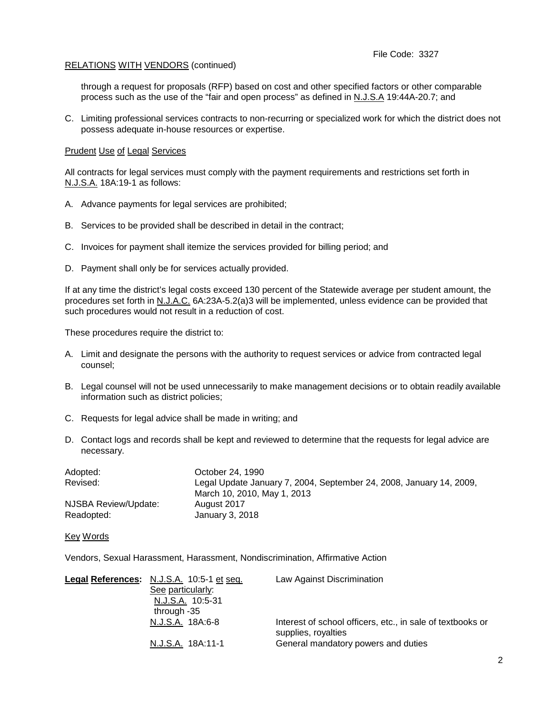# RELATIONS WITH VENDORS (continued)

through a request for proposals (RFP) based on cost and other specified factors or other comparable process such as the use of the "fair and open process" as defined in N.J.S.A 19:44A-20.7; and

C. Limiting professional services contracts to non-recurring or specialized work for which the district does not possess adequate in-house resources or expertise.

## Prudent Use of Legal Services

All contracts for legal services must comply with the payment requirements and restrictions set forth in N.J.S.A. 18A:19-1 as follows:

- A. Advance payments for legal services are prohibited;
- B. Services to be provided shall be described in detail in the contract;
- C. Invoices for payment shall itemize the services provided for billing period; and
- D. Payment shall only be for services actually provided.

If at any time the district's legal costs exceed 130 percent of the Statewide average per student amount, the procedures set forth in N.J.A.C. 6A:23A-5.2(a)3 will be implemented, unless evidence can be provided that such procedures would not result in a reduction of cost.

These procedures require the district to:

- A. Limit and designate the persons with the authority to request services or advice from contracted legal counsel;
- B. Legal counsel will not be used unnecessarily to make management decisions or to obtain readily available information such as district policies;
- C. Requests for legal advice shall be made in writing; and
- D. Contact logs and records shall be kept and reviewed to determine that the requests for legal advice are necessary.

| Adopted:             | October 24, 1990                                                    |
|----------------------|---------------------------------------------------------------------|
| Revised:             | Legal Update January 7, 2004, September 24, 2008, January 14, 2009, |
|                      | March 10, 2010, May 1, 2013                                         |
| NJSBA Review/Update: | August 2017                                                         |
| Readopted:           | January 3, 2018                                                     |

## Key Words

Vendors, Sexual Harassment, Harassment, Nondiscrimination, Affirmative Action

| Legal References: N.J.S.A. 10:5-1 et seq. | Law Against Discrimination                                                        |
|-------------------------------------------|-----------------------------------------------------------------------------------|
| See particularly:                         |                                                                                   |
| N.J.S.A. 10:5-31                          |                                                                                   |
| through -35                               |                                                                                   |
| N.J.S.A. 18A:6-8                          | Interest of school officers, etc., in sale of textbooks or<br>supplies, royalties |
| N.J.S.A. 18A:11-1                         | General mandatory powers and duties                                               |